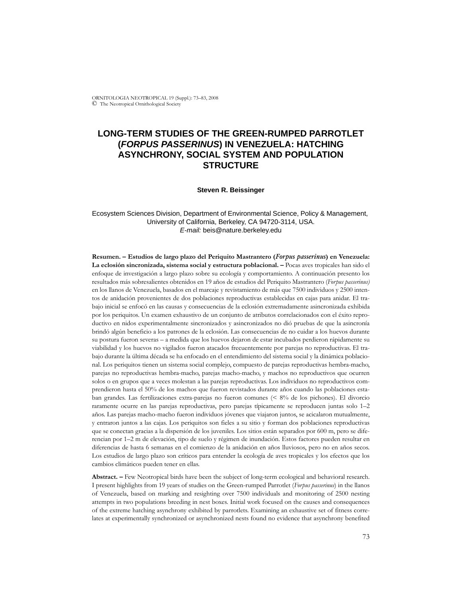ORNITOLOGIA NEOTROPICAL 19 (Suppl.): 73–83, 2008 © The Neotropical Ornithological Society

# **LONG-TERM STUDIES OF THE GREEN-RUMPED PARROTLET (***FORPUS PASSERINUS***) IN VENEZUELA: HATCHING ASYNCHRONY, SOCIAL SYSTEM AND POPULATION STRUCTURE**

#### **Steven R. Beissinger**

### Ecosystem Sciences Division, Department of Environmental Science, Policy & Management, University of California, Berkeley, CA 94720-3114, USA. *E-mail:* beis@nature.berkeley.edu

**Resumen. – Estudios de largo plazo del Periquito Mastrantero (***Forpus passerinus***) en Venezuela: La eclosión sincronizada, sistema social y estructura poblacional. –** Pocas aves tropicales han sido el enfoque de investigación a largo plazo sobre su ecología y comportamiento. A continuación presento los resultados más sobresalientes obtenidos en 19 años de estudios del Periquito Mastrantero (*Forpus passerinus)* en los llanos de Venezuela, basados en el marcaje y revistamiento de más que 7500 individuos y 2500 intentos de anidación provenientes de dos poblaciones reproductivas establecidas en cajas para anidar. El trabajo inicial se enfocó en las causas y consecuencias de la eclosión extremadamente asincronizada exhibida por los periquitos. Un examen exhaustivo de un conjunto de atributos correlacionados con el éxito reproductivo en nidos experimentalmente sincronizados y asincronizados no dió pruebas de que la asincronía brindó algún beneficio a los patrones de la eclosión. Las consecuencias de no cuidar a los huevos durante su postura fueron severas – a medida que los huevos dejaron de estar incubados perdieron rápidamente su viabilidad y los huevos no vigilados fueron atacados frecuentemente por parejas no reproductivas. El trabajo durante la última década se ha enfocado en el entendimiento del sistema social y la dinámica poblacional. Los periquitos tienen un sistema social complejo, compuesto de parejas reproductivas hembra-macho, parejas no reproductivas hembra-macho, parejas macho-macho, y machos no reproductivos que ocurren solos o en grupos que a veces molestan a las parejas reproductivas. Los individuos no reproductivos comprendieron hasta el 50% de los machos que fueron revistados durante años cuando las poblaciones estaban grandes. Las fertilizaciones extra-parejas no fueron comunes (< 8% de los pichones). El divorcio raramente ocurre en las parejas reproductivas, pero parejas típicamente se reproducen juntas solo 1–2 años. Las parejas macho-macho fueron individuos jóvenes que viajaron juntos, se acicalaron mutualmente, y entraron juntos a las cajas. Los periquitos son fieles a su sitio y forman dos poblaciones reproductivas que se conectan gracias a la dispersión de los juveniles. Los sitios están separados por 600 m, pero se diferencian por 1–2 m de elevación, tipo de suelo y régimen de inundación. Estos factores pueden resultar en diferencias de hasta 6 semanas en el comienzo de la anidación en años lluviosos, pero no en años secos. Los estudios de largo plazo son críticos para entender la ecología de aves tropicales y los efectos que los cambios climáticos pueden tener en ellas.

**Abstract. –** Few Neotropical birds have been the subject of long-term ecological and behavioral research. I present highlights from 19 years of studies on the Green-rumped Parrotlet (*Forpus passerinus*) in the llanos of Venezuela, based on marking and resighting over 7500 individuals and monitoring of 2500 nesting attempts in two populations breeding in nest boxes. Initial work focused on the causes and consequences of the extreme hatching asynchrony exhibited by parrotlets. Examining an exhaustive set of fitness correlates at experimentally synchronized or asynchronized nests found no evidence that asynchrony benefited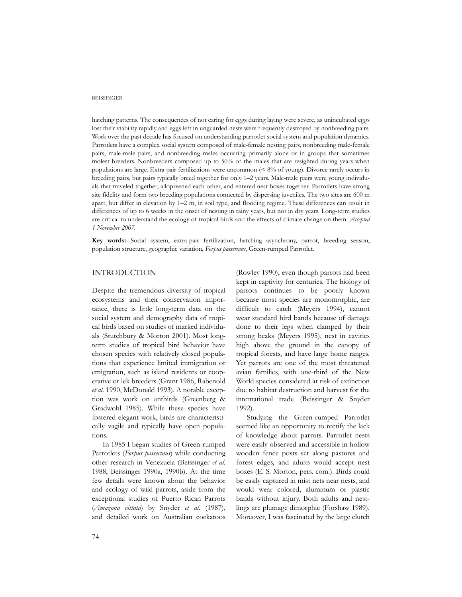hatching patterns. The consequences of not caring for eggs during laying were severe, as unincubated eggs lost their viability rapidly and eggs left in unguarded nests were frequently destroyed by nonbreeding pairs. Work over the past decade has focused on understanding parrotlet social system and population dynamics. Parrotlets have a complex social system composed of male-female nesting pairs, nonbreeding male-female pairs, male-male pairs, and nonbreeding males occurring primarily alone or in groups that sometimes molest breeders. Nonbreeders composed up to 50% of the males that are resighted during years when populations are large. Extra pair fertilizations were uncommon (< 8% of young). Divorce rarely occurs in breeding pairs, but pairs typically breed together for only 1–2 years. Male*-*male pairs were young individuals that traveled together, allopreened each other, and entered nest boxes together. Parrotlets have strong site fidelity and form two breeding populations connected by dispersing juveniles. The two sites are 600 m apart, but differ in elevation by 1–2 m, in soil type, and flooding regime. These differences can result in differences of up to 6 weeks in the onset of nesting in rainy years, but not in dry years. Long-term studies are critical to understand the ecology of tropical birds and the effects of climate change on them. *Accepted 1 November 2007.*

**Key words:** Social system, extra-pair fertilization, hatching asynchrony, parrot, breeding season, population structure, geographic variation, *Forpus passerinus*, Green-rumped Parrotlet.

## INTRODUCTION

Despite the tremendous diversity of tropical ecosystems and their conservation importance, there is little long-term data on the social system and demography data of tropical birds based on studies of marked individuals (Stutchbury & Morton 2001). Most longterm studies of tropical bird behavior have chosen species with relatively closed populations that experience limited immigration or emigration, such as island residents or cooperative or lek breeders (Grant 1986, Rabenold *et al.* 1990, McDonald 1993). A notable exception was work on antbirds (Greenberg & Gradwohl 1985). While these species have fostered elegant work, birds are characteristically vagile and typically have open populations.

In 1985 I began studies of Green-rumped Parrotlets (*Forpus passerinus*) while conducting other research in Venezuela (Beissinger *et al.* 1988, Beissinger 1990a, 1990b). At the time few details were known about the behavior and ecology of wild parrots, aside from the exceptional studies of Puerto Rican Parrots (*Amazona vittata*) by Snyder *et al.* (1987), and detailed work on Australian cockatoos

(Rowley 1990), even though parrots had been kept in captivity for centuries. The biology of parrots continues to be poorly known because most species are monomorphic, are difficult to catch (Meyers 1994), cannot wear standard bird bands because of damage done to their legs when clamped by their strong beaks (Meyers 1995), nest in cavities high above the ground in the canopy of tropical forests, and have large home ranges. Yet parrots are one of the most threatened avian families, with one-third of the New World species considered at risk of extinction due to habitat destruction and harvest for the international trade (Beissinger & Snyder 1992).

Studying the Green-rumped Parrotlet seemed like an opportunity to rectify the lack of knowledge about parrots. Parrotlet nests were easily observed and accessible in hollow wooden fence posts set along pastures and forest edges, and adults would accept nest boxes (E. S. Morton, pers. com.). Birds could be easily captured in mist nets near nests, and would wear colored, aluminum or plastic bands without injury. Both adults and nestlings are plumage dimorphic (Forshaw 1989). Moreover, I was fascinated by the large clutch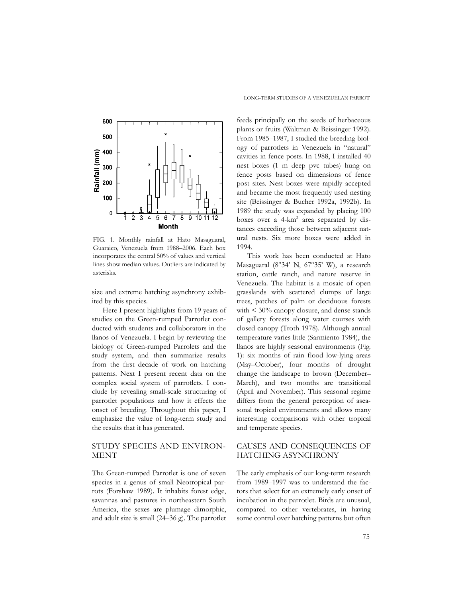

FIG. 1. Monthly rainfall at Hato Masaguaral, Guaraico, Venezuela from 1988–2006. Each box incorporates the central 50% of values and vertical lines show median values. Outliers are indicated by asterisks.

size and extreme hatching asynchrony exhibited by this species.

Here I present highlights from 19 years of studies on the Green-rumped Parrotlet conducted with students and collaborators in the llanos of Venezuela. I begin by reviewing the biology of Green-rumped Parrolets and the study system, and then summarize results from the first decade of work on hatching patterns. Next I present recent data on the complex social system of parrotlets. I conclude by revealing small-scale structuring of parrotlet populations and how it effects the onset of breeding. Throughout this paper, I emphasize the value of long-term study and the results that it has generated.

## STUDY SPECIES AND ENVIRON-MENT

The Green-rumped Parrotlet is one of seven species in a genus of small Neotropical parrots (Forshaw 1989). It inhabits forest edge, savannas and pastures in northeastern South America, the sexes are plumage dimorphic, and adult size is small (24–36 g). The parrotlet

feeds principally on the seeds of herbaceous plants or fruits (Waltman & Beissinger 1992). From 1985–1987, I studied the breeding biology of parrotlets in Venezuela in "natural" cavities in fence posts. In 1988, I installed 40 nest boxes (1 m deep pvc tubes) hung on fence posts based on dimensions of fence post sites. Nest boxes were rapidly accepted and became the most frequently used nesting site (Beissinger & Bucher 1992a, 1992b). In 1989 the study was expanded by placing 100 boxes over a 4-km<sup>2</sup> area separated by distances exceeding those between adjacent natural nests. Six more boxes were added in 1994.

This work has been conducted at Hato Masaguaral (8°34' N, 67°35' W), a research station, cattle ranch, and nature reserve in Venezuela. The habitat is a mosaic of open grasslands with scattered clumps of large trees, patches of palm or deciduous forests with  $\leq 30\%$  canopy closure, and dense stands of gallery forests along water courses with closed canopy (Troth 1978). Although annual temperature varies little (Sarmiento 1984), the llanos are highly seasonal environments (Fig. 1): six months of rain flood low-lying areas (May–October), four months of drought change the landscape to brown (December– March), and two months are transitional (April and November). This seasonal regime differs from the general perception of aseasonal tropical environments and allows many interesting comparisons with other tropical and temperate species.

# CAUSES AND CONSEQUENCES OF HATCHING ASYNCHRONY

The early emphasis of our long-term research from 1989–1997 was to understand the factors that select for an extremely early onset of incubation in the parrotlet. Birds are unusual, compared to other vertebrates, in having some control over hatching patterns but often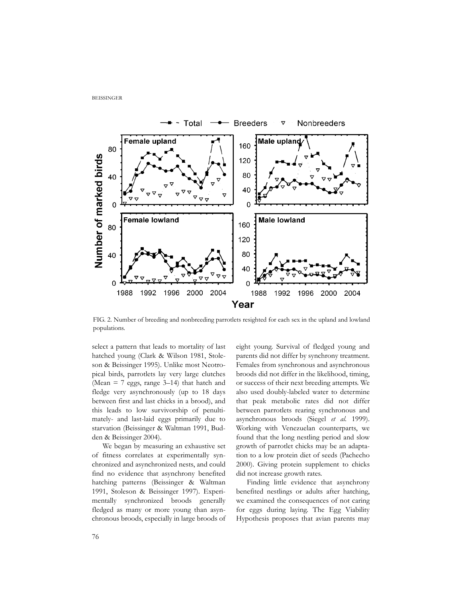

FIG. 2. Number of breeding and nonbreeding parrotlets resighted for each sex in the upland and lowland populations.

select a pattern that leads to mortality of last hatched young (Clark & Wilson 1981, Stoleson & Beissinger 1995). Unlike most Neotropical birds, parrotlets lay very large clutches (Mean  $= 7$  eggs, range 3–14) that hatch and fledge very asynchronously (up to 18 days between first and last chicks in a brood), and this leads to low survivorship of penultimately- and last-laid eggs primarily due to starvation (Beissinger & Waltman 1991, Budden & Beissinger 2004).

We began by measuring an exhaustive set of fitness correlates at experimentally synchronized and asynchronized nests, and could find no evidence that asynchrony benefited hatching patterns (Beissinger & Waltman 1991, Stoleson & Beissinger 1997). Experimentally synchronized broods generally fledged as many or more young than asynchronous broods, especially in large broods of eight young. Survival of fledged young and parents did not differ by synchrony treatment. Females from synchronous and asynchronous broods did not differ in the likelihood, timing, or success of their next breeding attempts. We also used doubly-labeled water to determine that peak metabolic rates did not differ between parrotlets rearing synchronous and asynchronous broods (Siegel *et al.* 1999). Working with Venezuelan counterparts, we found that the long nestling period and slow growth of parrotlet chicks may be an adaptation to a low protein diet of seeds (Pachecho 2000). Giving protein supplement to chicks did not increase growth rates.

Finding little evidence that asynchrony benefited nestlings or adults after hatching, we examined the consequences of not caring for eggs during laying. The Egg Viability Hypothesis proposes that avian parents may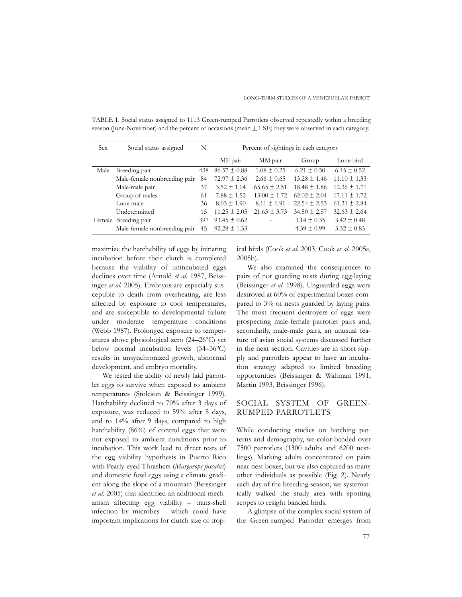| <b>Sex</b> | Social status assigned       | N   | Percent of sightings in each category |                  |                  |                  |
|------------|------------------------------|-----|---------------------------------------|------------------|------------------|------------------|
|            |                              |     | MF pair                               | MM pair          | Group            | Lone bird        |
| Male       | Breeding pair                | 438 | $86.57 \pm 0.88$                      | $1.08 \pm 0.25$  | $6.21 \pm 0.50$  | $6.15 \pm 0.52$  |
|            | Male-female nonbreeding pair | 84  | $72.97 \pm 2.36$                      | $2.66 \pm 0.65$  | $13.28 \pm 1.46$ | $11.10 \pm 1.33$ |
|            | Male-male pair               | 37  | $3.52 \pm 1.14$                       | $65.65 \pm 2.51$ | $18.48 \pm 1.86$ | $12.36 \pm 1.71$ |
|            | Group of males               | 61  | $7.88 \pm 1.52$                       | $13.00 \pm 1.72$ | $62.02 \pm 2.04$ | $17.11 \pm 1.72$ |
|            | Lone male                    | 36  | $8.03 \pm 1.90$                       | $8.11 \pm 1.91$  | $22.54 \pm 2.53$ | $61.31 \pm 2.84$ |
|            | Undetermined                 | 15  | $11.25 \pm 2.05$                      | $21.63 \pm 3.73$ | $34.50 \pm 2.57$ | $32.63 \pm 2.64$ |
|            | Female Breeding pair         | 397 | $93.45 \pm 0.62$                      |                  | $3.14 \pm 0.35$  | $3.42 \pm 0.48$  |
|            | Male-female nonbreeding pair | 45  | $92.28 \pm 1.33$                      |                  | $4.39 \pm 0.99$  | $3.32 \pm 0.83$  |

TABLE 1. Social status assigned to 1113 Green-rumped Parrotlets observed repeatedly within a breeding season (June-November) and the percent of occasions (mean  $\pm$  1 SE) they were observed in each category.

maximize the hatchability of eggs by initiating incubation before their clutch is completed because the viability of unincubated eggs declines over time (Arnold *et al.* 1987, Beissinger *et al.* 2005). Embryos are especially susceptible to death from overheating, are less affected by exposure to cool temperatures, and are susceptible to developmental failure under moderate temperature conditions (Webb 1987). Prolonged exposure to temperatures above physiological zero (24–26ºC) yet below normal incubation levels (34–36ºC) results in unsynchronized growth, abnormal development, and embryo mortality.

We tested the ability of newly laid parrotlet eggs to survive when exposed to ambient temperatures (Stoleson & Beissinger 1999). Hatchability declined to 70% after 3 days of exposure, was reduced to 59% after 5 days, and to 14% after 9 days, compared to high hatchability (86%) of control eggs that were not exposed to ambient conditions prior to incubation. This work lead to direct tests of the egg viability hypothesis in Puerto Rico with Pearly-eyed Thrashers (*Margarops fuscatus*) and domestic fowl eggs using a climate gradient along the slope of a mountain (Beissinger *et al.* 2005) that identified an additional mechanism affecting egg viability – trans-shell infection by microbes – which could have important implications for clutch size of tropical birds (Cook *et al.* 2003, Cook *et al.* 2005a, 2005b).

We also examined the consequences to pairs of not guarding nests during egg-laying (Beissinger *et al.* 1998). Unguarded eggs were destroyed at 60% of experimental boxes compared to 3% of nests guarded by laying pairs. The most frequent destroyers of eggs were prospecting male-female parrotlet pairs and, secondarily, male-male pairs, an unusual feature of avian social systems discussed further in the next section. Cavities are in short supply and parrotlets appear to have an incubation strategy adapted to limited breeding opportunities (Beissinger & Waltman 1991, Martin 1993, Beissinger 1996).

## SOCIAL SYSTEM OF GREEN-RUMPED PARROTLETS

While conducting studies on hatching patterns and demography, we color-banded over 7500 parrotlets (1300 adults and 6200 nestlings). Marking adults concentrated on pairs near nest boxes, but we also captured as many other individuals as possible (Fig. 2). Nearly each day of the breeding season, we systematically walked the study area with spotting scopes to resight banded birds.

A glimpse of the complex social system of the Green-rumped Parrotlet emerges from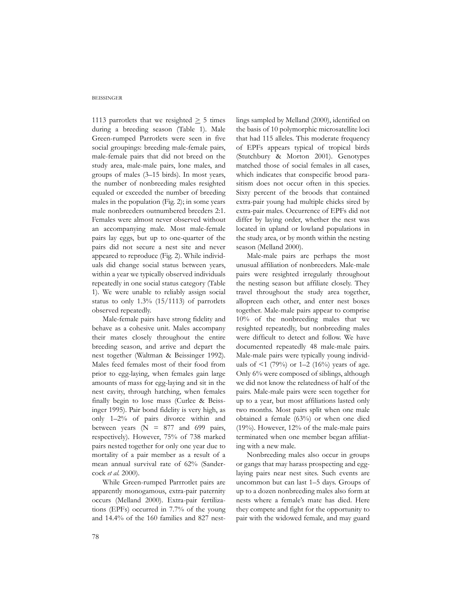1113 parrotlets that we resighted  $\geq$  5 times during a breeding season (Table 1). Male Green-rumped Parrotlets were seen in five social groupings: breeding male-female pairs, male-female pairs that did not breed on the study area, male-male pairs, lone males, and groups of males (3–15 birds). In most years, the number of nonbreeding males resighted equaled or exceeded the number of breeding males in the population (Fig. 2); in some years male nonbreeders outnumbered breeders 2:1. Females were almost never observed without an accompanying male. Most male-female pairs lay eggs, but up to one-quarter of the pairs did not secure a nest site and never appeared to reproduce (Fig. 2). While individuals did change social status between years, within a year we typically observed individuals repeatedly in one social status category (Table 1). We were unable to reliably assign social status to only 1.3% (15/1113) of parrotlets observed repeatedly.

Male-female pairs have strong fidelity and behave as a cohesive unit. Males accompany their mates closely throughout the entire breeding season, and arrive and depart the nest together (Waltman & Beissinger 1992). Males feed females most of their food from prior to egg-laying, when females gain large amounts of mass for egg-laying and sit in the nest cavity, through hatching, when females finally begin to lose mass (Curlee & Beissinger 1995). Pair bond fidelity is very high, as only 1–2% of pairs divorce within and between years ( $N = 877$  and 699 pairs, respectively). However, 75% of 738 marked pairs nested together for only one year due to mortality of a pair member as a result of a mean annual survival rate of 62% (Sandercock *et al.* 2000).

While Green-rumped Parrrotlet pairs are apparently monogamous, extra-pair paternity occurs (Melland 2000). Extra-pair fertilizations (EPFs) occurred in 7.7% of the young and 14.4% of the 160 families and 827 nestlings sampled by Melland (2000), identified on the basis of 10 polymorphic microsatellite loci that had 115 alleles. This moderate frequency of EPFs appears typical of tropical birds (Stutchbury & Morton 2001). Genotypes matched those of social females in all cases, which indicates that conspecific brood parasitism does not occur often in this species. Sixty percent of the broods that contained extra-pair young had multiple chicks sired by extra-pair males. Occurrence of EPFs did not differ by laying order, whether the nest was located in upland or lowland populations in the study area, or by month within the nesting season (Melland 2000).

Male-male pairs are perhaps the most unusual affiliation of nonbreeders. Male-male pairs were resighted irregularly throughout the nesting season but affiliate closely. They travel throughout the study area together, allopreen each other, and enter nest boxes together. Male-male pairs appear to comprise 10% of the nonbreeding males that we resighted repeatedly, but nonbreeding males were difficult to detect and follow. We have documented repeatedly 48 male-male pairs. Male-male pairs were typically young individuals of  $\leq 1$  (79%) or 1–2 (16%) years of age. Only 6% were composed of siblings, although we did not know the relatedness of half of the pairs. Male-male pairs were seen together for up to a year, but most affiliations lasted only two months. Most pairs split when one male obtained a female (63%) or when one died (19%). However, 12% of the male-male pairs terminated when one member began affiliating with a new male.

Nonbreeding males also occur in groups or gangs that may harass prospecting and egglaying pairs near nest sites. Such events are uncommon but can last 1–5 days. Groups of up to a dozen nonbreeding males also form at nests where a female's mate has died. Here they compete and fight for the opportunity to pair with the widowed female, and may guard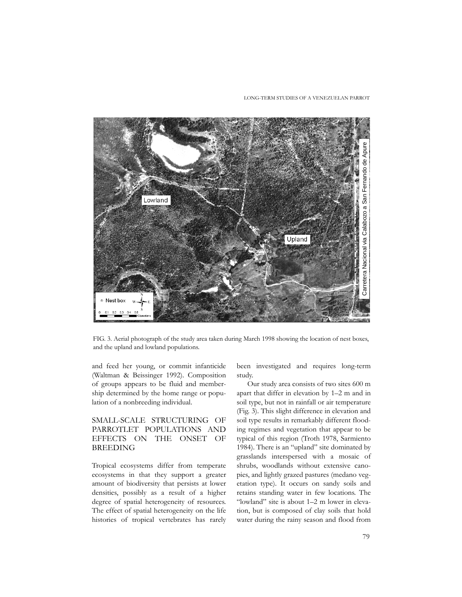LONG-TERM STUDIES OF A VENEZUELAN PARROT



FIG. 3. Aerial photograph of the study area taken during March 1998 showing the location of nest boxes, and the upland and lowland populations.

and feed her young, or commit infanticide (Waltman & Beissinger 1992). Composition of groups appears to be fluid and membership determined by the home range or population of a nonbreeding individual.

# SMALL-SCALE STRUCTURING OF PARROTLET POPULATIONS AND EFFECTS ON THE ONSET OF BREEDING

Tropical ecosystems differ from temperate ecosystems in that they support a greater amount of biodiversity that persists at lower densities, possibly as a result of a higher degree of spatial heterogeneity of resources. The effect of spatial heterogeneity on the life histories of tropical vertebrates has rarely

been investigated and requires long-term study.

Our study area consists of two sites 600 m apart that differ in elevation by 1–2 m and in soil type, but not in rainfall or air temperature (Fig. 3). This slight difference in elevation and soil type results in remarkably different flooding regimes and vegetation that appear to be typical of this region (Troth 1978, Sarmiento 1984). There is an "upland" site dominated by grasslands interspersed with a mosaic of shrubs, woodlands without extensive canopies, and lightly grazed pastures (medano vegetation type). It occurs on sandy soils and retains standing water in few locations. The "lowland" site is about 1–2 m lower in elevation, but is composed of clay soils that hold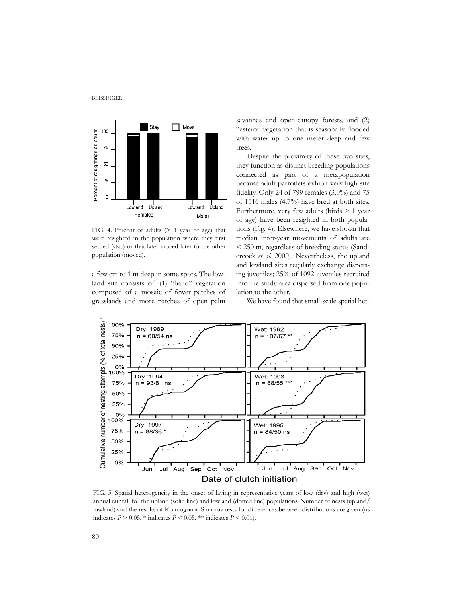

FIG. 4. Percent of adults (> 1 year of age) that were resighted in the population where they first settled (stay) or that later moved later to the other population (moved).

a few cm to 1 m deep in some spots. The lowland site consists of: (1) "bajio" vegetation composed of a mosaic of fewer patches of grasslands and more patches of open palm savannas and open-canopy forests, and (2) "estero" vegetation that is seasonally flooded with water up to one meter deep and few trees.

Despite the proximity of these two sites, they function as distinct breeding populations connected as part of a metapopulation because adult parrotlets exhibit very high site fidelity. Only 24 of 799 females (3.0%) and 75 of 1516 males (4.7%) have bred at both sites. Furthermore, very few adults (birds > 1 year of age) have been resighted in both populations (Fig. 4). Elsewhere, we have shown that median inter-year movements of adults are < 250 m, regardless of breeding status (Sandercock *et al.* 2000). Nevertheless, the upland and lowland sites regularly exchange dispersing juveniles; 25% of 1092 juveniles recruited into the study area dispersed from one population to the other.

We have found that small-scale spatial het-



FIG. 5. Spatial heterogeneity in the onset of laying in representative years of low (dry) and high (wet) annual rainfall for the upland (solid line) and lowland (dotted line) populations. Number of nests (upland/ lowland) and the results of Kolmogorov-Smirnov tests for differences between distributions are given (ns indicates  $P > 0.05$ ,  $*$  indicates  $P < 0.05$ ,  $**$  indicates  $P < 0.01$ ).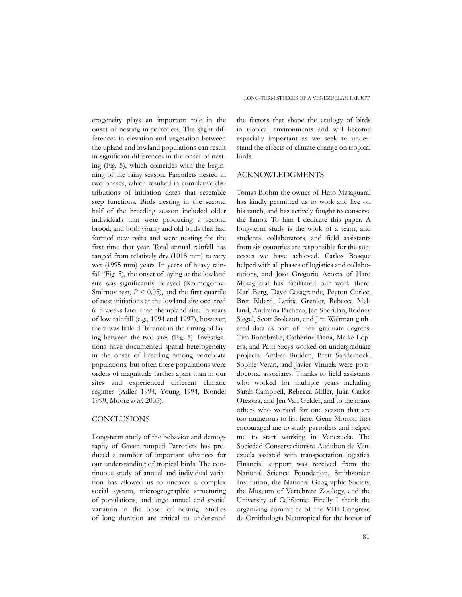erogeneity plays an important role in the onset of nesting in parrotlets. The slight differences in elevation and vegetation between the upland and lowland populations can result in significant differences in the onset of nesting (Fig. 5), which coincides with the beginning of the rainy season. Parrotlets nested in two phases, which resulted in cumulative distributions of initiation dates that resemble step functions. Birds nesting in the second half of the breeding season included older individuals that were producing a second brood, and both young and old birds that had formed new pairs and were nesting for the first time that year. Total annual rainfall has ranged from relatively dry (1018 mm) to very wet (1995 mm) years. In years of heavy rainfall (Fig. 5), the onset of laying at the lowland site was significantly delayed (Kolmogorov-Smirnov test,  $P \leq 0.05$ ), and the first quartile of nest initiations at the lowland site occurred 6–8 weeks later than the upland site. In years of low rainfall (e.g., 1994 and 1997), however, there was little difference in the timing of laying between the two sites (Fig. 5). Investigations have documented spatial heterogeneity in the onset of breeding among vertebrate populations, but often these populations were orders of magnitude farther apart than in our sites and experienced different climatic regimes (Adler 1994, Young 1994, Blondel 1999, Moore *et al.* 2005).

### **CONCLUSIONS**

Long-term study of the behavior and demography of Green-rumped Parrotlets has produced a number of important advances for our understanding of tropical birds. The continuous study of annual and individual variation has allowed us to uncover a complex social system, microgeographic structuring of populations, and large annual and spatial variation in the onset of nesting. Studies of long duration are critical to understand

the factors that shape the ecology of birds in tropical environments and will become especially important as we seek to understand the effects of climate change on tropical birds.

#### ACKNOWLEDGMENTS

Tomas Blohm the owner of Hato Masaguaral has kindly permitted us to work and live on his ranch, and has actively fought to conserve the llanos. To him I dedicate this paper. A long-term study is the work of a team, and students, collaborators, and field assistants from six countries are responsible for the successes we have achieved. Carlos Bosque helped with all phases of logistics and collaborations, and Jose Gregorio Acosta of Hato Masaguaral has facilitated our work there. Karl Berg, Dave Casagrande, Peyton Curlee, Bret Elderd, Letitia Grenier, Rebecca Melland, Andreina Pacheco, Jen Sheridan, Rodney Siegel, Scott Stoleson, and Jim Waltman gathered data as part of their graduate degrees. Tim Bonebrake, Catherine Dana, Maike Lopera, and Patti Szcys worked on undergraduate projects. Amber Budden, Brett Sandercock, Sophie Veran, and Javier Vinuela were postdoctoral associates. Thanks to field assistants who worked for multiple years including Sarah Campbell, Rebecca Miller, Juan Carlos Otezyza, and Jen Van Gelder, and to the many others who worked for one season that are too numerous to list here. Gene Morton first encouraged me to study parrotlets and helped me to start working in Venezuela. The Sociedad Conservacionista Audubon de Venezuela assisted with transportation logistics. Financial support was received from the National Science Foundation, Smithsonian Institution, the National Geographic Society, the Museum of Vertebrate Zoology, and the University of California. Finally I thank the organizing committee of the VIII Congreso de Ornithología Neotropical for the honor of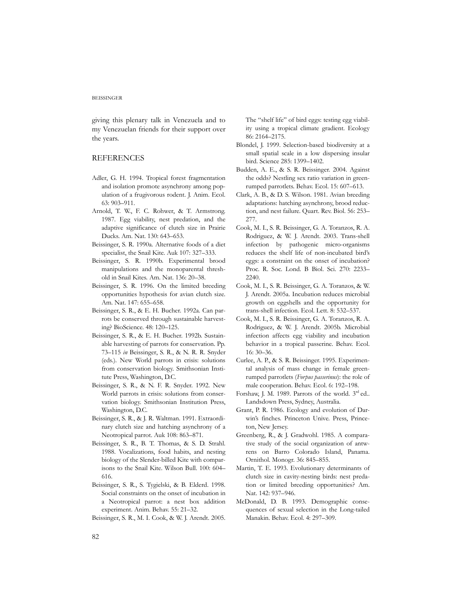giving this plenary talk in Venezuela and to my Venezuelan friends for their support over the years.

#### REFERENCES

- Adler, G. H. 1994. Tropical forest fragmentation and isolation promote asynchrony among population of a frugivorous rodent. J. Anim. Ecol. 63: 903–911.
- Arnold, T. W., F. C. Rohwer, & T. Armstrong. 1987. Egg viability, nest predation, and the adaptive significance of clutch size in Prairie Ducks. Am. Nat. 130: 643–653.
- Beissinger, S. R. 1990a. Alternative foods of a diet specialist, the Snail Kite. Auk 107: 327–333.
- Beissinger, S. R. 1990b. Experimental brood manipulations and the monoparental threshold in Snail Kites. Am. Nat. 136: 20–38.
- Beissinger, S. R. 1996. On the limited breeding opportunities hypothesis for avian clutch size. Am. Nat. 147: 655–658.
- Beissinger, S. R., & E. H. Bucher. 1992a. Can parrots be conserved through sustainable harvesting? BioScience. 48: 120–125.
- Beissinger, S. R., & E. H. Bucher. 1992b. Sustainable harvesting of parrots for conservation. Pp. 73–115 *in* Beissinger, S. R., & N. R. R. Snyder (eds.). New World parrots in crisis: solutions from conservation biology. Smithsonian Institute Press, Washington, D.C.
- Beissinger, S. R., & N. F. R. Snyder. 1992. New World parrots in crisis: solutions from conservation biology. Smithsonian Institution Press, Washington, D.C.
- Beissinger, S. R., & J. R. Waltman. 1991. Extraordinary clutch size and hatching asynchrony of a Neotropical parrot. Auk 108: 863–871.
- Beissinger, S. R., B. T. Thomas, & S. D. Strahl. 1988. Vocalizations, food habits, and nesting biology of the Slender-billed Kite with comparisons to the Snail Kite. Wilson Bull. 100: 604– 616.
- Beissinger, S. R., S. Tygielski, & B. Elderd. 1998. Social constraints on the onset of incubation in a Neotropical parrot: a nest box addition experiment. Anim. Behav. 55: 21–32.
- Beissinger, S. R., M. I. Cook, & W. J. Arendt. 2005.

The "shelf life" of bird eggs: testing egg viability using a tropical climate gradient. Ecology 86: 2164–2175.

- Blondel, J. 1999. Selection-based biodiversity at a small spatial scale in a low dispersing insular bird. Science 285: 1399–1402.
- Budden, A. E., & S. R. Beissinger. 2004. Against the odds? Nestling sex ratio variation in greenrumped parrotlets. Behav. Ecol. 15: 607–613.
- Clark, A. B., & D. S. Wilson. 1981. Avian breeding adaptations: hatching asynchrony, brood reduction, and nest failure. Quart. Rev. Biol. 56: 253– 277.
- Cook, M. I., S. R. Beissinger, G. A. Toranzos, R. A. Rodriguez, & W. J. Arendt. 2003. Trans-shell infection by pathogenic micro-organisms reduces the shelf life of non-incubated bird's eggs: a constraint on the onset of incubation? Proc. R. Soc. Lond. B Biol. Sci. 270: 2233– 2240.
- Cook, M. I., S. R. Beissinger, G. A. Toranzos, & W. J. Arendt. 2005a. Incubation reduces microbial growth on eggshells and the opportunity for trans-shell infection. Ecol. Lett. 8: 532–537.
- Cook, M. I., S. R. Beissinger, G. A. Toranzos, R. A. Rodriguez, & W. J. Arendt. 2005b. Microbial infection affects egg viability and incubation behavior in a tropical passerine. Behav. Ecol. 16: 30–36.
- Curlee, A. P., & S. R. Beissinger. 1995. Experimental analysis of mass change in female greenrumped parrotlets (*Forpus passerinus*): the role of male cooperation. Behav. Ecol. 6: 192–198.
- Forshaw, J. M. 1989. Parrots of the world. 3<sup>rd</sup> ed.. Landsdown Press, Sydney, Australia.
- Grant, P. R. 1986. Ecology and evolution of Darwin's finches. Princeton Unive. Press, Princeton, New Jersey.
- Greenberg, R., & J. Gradwohl. 1985. A comparative study of the social organization of antwrens on Barro Colorado Island, Panama. Ornithol. Monogr. 36: 845–855.
- Martin, T. E. 1993. Evolutionary determinants of clutch size in cavity-nesting birds: nest predation or limited breeding opportunities? Am. Nat. 142: 937–946.
- McDonald, D. B. 1993. Demographic consequences of sexual selection in the Long-tailed Manakin. Behav. Ecol. 4: 297–309.